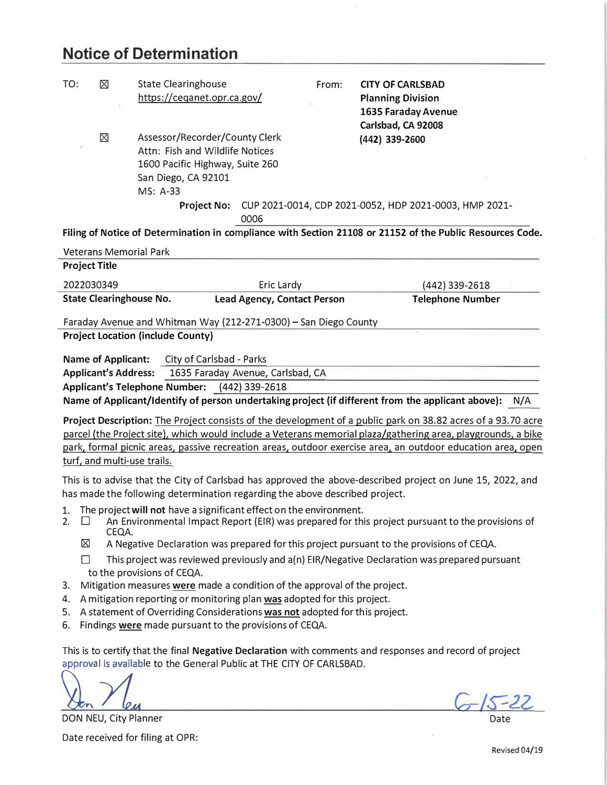## **Notice of Determination**

ä

| TO:                                                                                                                                                                                       | ⊠                                                                                                                                                                                            | <b>State Clearinghouse</b><br>https://ceganet.opr.ca.gov/                                                                               |                                    | From: | <b>CITY OF CARLSBAD</b><br><b>Planning Division</b><br><b>1635 Faraday Avenue</b>                                                                                                                                                                                                                                                           |  |  |  |  |
|-------------------------------------------------------------------------------------------------------------------------------------------------------------------------------------------|----------------------------------------------------------------------------------------------------------------------------------------------------------------------------------------------|-----------------------------------------------------------------------------------------------------------------------------------------|------------------------------------|-------|---------------------------------------------------------------------------------------------------------------------------------------------------------------------------------------------------------------------------------------------------------------------------------------------------------------------------------------------|--|--|--|--|
|                                                                                                                                                                                           | ⊠                                                                                                                                                                                            | Assessor/Recorder/County Clerk<br>Attn: Fish and Wildlife Notices<br>1600 Pacific Highway, Suite 260<br>San Diego, CA 92101<br>MS: A-33 |                                    |       | Carlsbad, CA 92008<br>(442) 339-2600                                                                                                                                                                                                                                                                                                        |  |  |  |  |
|                                                                                                                                                                                           |                                                                                                                                                                                              |                                                                                                                                         | 0006                               |       | Project No: CUP 2021-0014, CDP 2021-0052, HDP 2021-0003, HMP 2021-                                                                                                                                                                                                                                                                          |  |  |  |  |
|                                                                                                                                                                                           |                                                                                                                                                                                              |                                                                                                                                         |                                    |       | Filing of Notice of Determination in compliance with Section 21108 or 21152 of the Public Resources Code.                                                                                                                                                                                                                                   |  |  |  |  |
|                                                                                                                                                                                           | <b>Veterans Memorial Park</b>                                                                                                                                                                |                                                                                                                                         |                                    |       |                                                                                                                                                                                                                                                                                                                                             |  |  |  |  |
| <b>Project Title</b>                                                                                                                                                                      |                                                                                                                                                                                              |                                                                                                                                         |                                    |       |                                                                                                                                                                                                                                                                                                                                             |  |  |  |  |
| 2022030349                                                                                                                                                                                |                                                                                                                                                                                              |                                                                                                                                         | Eric Lardy                         |       | (442) 339-2618                                                                                                                                                                                                                                                                                                                              |  |  |  |  |
|                                                                                                                                                                                           | <b>State Clearinghouse No.</b>                                                                                                                                                               |                                                                                                                                         | <b>Lead Agency, Contact Person</b> |       | <b>Telephone Number</b>                                                                                                                                                                                                                                                                                                                     |  |  |  |  |
|                                                                                                                                                                                           |                                                                                                                                                                                              | Faraday Avenue and Whitman Way (212-271-0300) - San Diego County                                                                        |                                    |       |                                                                                                                                                                                                                                                                                                                                             |  |  |  |  |
| <b>Project Location (include County)</b>                                                                                                                                                  |                                                                                                                                                                                              |                                                                                                                                         |                                    |       |                                                                                                                                                                                                                                                                                                                                             |  |  |  |  |
| City of Carlsbad - Parks<br><b>Name of Applicant:</b>                                                                                                                                     |                                                                                                                                                                                              |                                                                                                                                         |                                    |       |                                                                                                                                                                                                                                                                                                                                             |  |  |  |  |
|                                                                                                                                                                                           | <b>Applicant's Address:</b>                                                                                                                                                                  |                                                                                                                                         | 1635 Faraday Avenue, Carlsbad, CA  |       |                                                                                                                                                                                                                                                                                                                                             |  |  |  |  |
|                                                                                                                                                                                           |                                                                                                                                                                                              | Applicant's Telephone Number: (442) 339-2618                                                                                            |                                    |       |                                                                                                                                                                                                                                                                                                                                             |  |  |  |  |
|                                                                                                                                                                                           |                                                                                                                                                                                              |                                                                                                                                         |                                    |       | Name of Applicant/Identify of person undertaking project (if different from the applicant above):<br>N/A                                                                                                                                                                                                                                    |  |  |  |  |
|                                                                                                                                                                                           | turf, and multi-use trails.                                                                                                                                                                  |                                                                                                                                         |                                    |       | Project Description: The Project consists of the development of a public park on 38.82 acres of a 93.70 acre<br>parcel (the Project site), which would include a Veterans memorial plaza/gathering area, playgrounds, a bike<br>park, formal picnic areas, passive recreation areas, outdoor exercise area, an outdoor education area, open |  |  |  |  |
| This is to advise that the City of Carlsbad has approved the above-described project on June 15, 2022, and<br>has made the following determination regarding the above described project. |                                                                                                                                                                                              |                                                                                                                                         |                                    |       |                                                                                                                                                                                                                                                                                                                                             |  |  |  |  |
| 2.                                                                                                                                                                                        | 1. The project will not have a significant effect on the environment.<br>An Environmental Impact Report (EIR) was prepared for this project pursuant to the provisions of<br>$\Box$<br>CEQA. |                                                                                                                                         |                                    |       |                                                                                                                                                                                                                                                                                                                                             |  |  |  |  |
| ⊠<br>П                                                                                                                                                                                    |                                                                                                                                                                                              |                                                                                                                                         |                                    |       | A Negative Declaration was prepared for this project pursuant to the provisions of CEQA.<br>This project was reviewed previously and a(n) EIR/Negative Declaration was prepared pursuant                                                                                                                                                    |  |  |  |  |
| to the provisions of CEQA.                                                                                                                                                                |                                                                                                                                                                                              |                                                                                                                                         |                                    |       |                                                                                                                                                                                                                                                                                                                                             |  |  |  |  |
| Mitigation measures were made a condition of the approval of the project.<br>3.                                                                                                           |                                                                                                                                                                                              |                                                                                                                                         |                                    |       |                                                                                                                                                                                                                                                                                                                                             |  |  |  |  |
| A mitigation reporting or monitoring plan was adopted for this project.<br>4.                                                                                                             |                                                                                                                                                                                              |                                                                                                                                         |                                    |       |                                                                                                                                                                                                                                                                                                                                             |  |  |  |  |
| 6.                                                                                                                                                                                        | A statement of Overriding Considerations was not adopted for this project.<br>5.<br>Findings were made pursuant to the provisions of CEQA.                                                   |                                                                                                                                         |                                    |       |                                                                                                                                                                                                                                                                                                                                             |  |  |  |  |
|                                                                                                                                                                                           |                                                                                                                                                                                              |                                                                                                                                         |                                    |       |                                                                                                                                                                                                                                                                                                                                             |  |  |  |  |
|                                                                                                                                                                                           |                                                                                                                                                                                              | approval is available to the General Public at THE CITY OF CARLSBAD.                                                                    |                                    |       | This is to certify that the final Negative Declaration with comments and responses and record of project                                                                                                                                                                                                                                    |  |  |  |  |
|                                                                                                                                                                                           |                                                                                                                                                                                              |                                                                                                                                         |                                    |       |                                                                                                                                                                                                                                                                                                                                             |  |  |  |  |

**[**

DON NEU, City Planner Date received for filing at OPR:

 $6 - 15 - 22$ Date

Revised 04/19